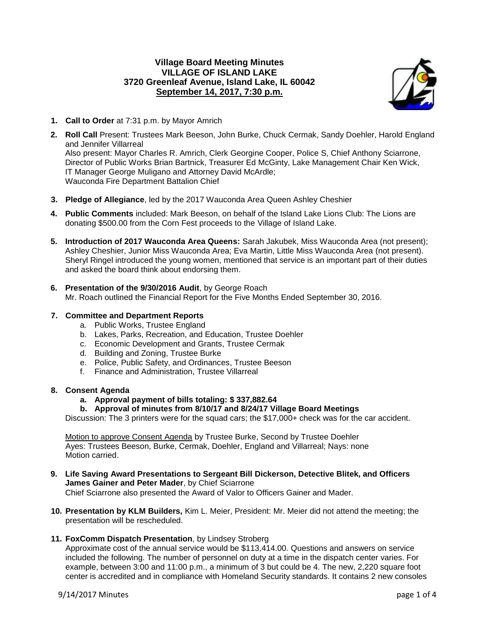## **Village Board Meeting Minutes VILLAGE OF ISLAND LAKE 3720 Greenleaf Avenue, Island Lake, IL 60042 September 14, 2017, 7:30 p.m.**



- **1. Call to Order** at 7:31 p.m. by Mayor Amrich
- **2. Roll Call** Present: Trustees Mark Beeson, John Burke, Chuck Cermak, Sandy Doehler, Harold England and Jennifer Villarreal Also present: Mayor Charles R. Amrich, Clerk Georgine Cooper, Police S, Chief Anthony Sciarrone, Director of Public Works Brian Bartnick, Treasurer Ed McGinty, Lake Management Chair Ken Wick, IT Manager George Muligano and Attorney David McArdle; Wauconda Fire Department Battalion Chief
- **3. Pledge of Allegiance**, led by the 2017 Wauconda Area Queen Ashley Cheshier
- **4. Public Comments** included: Mark Beeson, on behalf of the Island Lake Lions Club: The Lions are donating \$500.00 from the Corn Fest proceeds to the Village of Island Lake.
- **5. Introduction of 2017 Wauconda Area Queens:** Sarah Jakubek, Miss Wauconda Area (not present); Ashley Cheshier, Junior Miss Wauconda Area; Eva Martin, Little Miss Wauconda Area (not present). Sheryl Ringel introduced the young women, mentioned that service is an important part of their duties and asked the board think about endorsing them.
- **6. Presentation of the 9/30/2016 Audit**, by George Roach Mr. Roach outlined the Financial Report for the Five Months Ended September 30, 2016.

### **7. Committee and Department Reports**

- a. Public Works, Trustee England
- b. Lakes, Parks, Recreation, and Education, Trustee Doehler
- c. Economic Development and Grants, Trustee Cermak
- d. Building and Zoning, Trustee Burke
- e. Police, Public Safety, and Ordinances, Trustee Beeson
- f. Finance and Administration, Trustee Villarreal

### **8. Consent Agenda**

- **a. Approval payment of bills totaling: \$ 337,882.64**
- **b. Approval of minutes from 8/10/17 and 8/24/17 Village Board Meetings**

Discussion: The 3 printers were for the squad cars; the \$17,000+ check was for the car accident.

Motion to approve Consent Agenda by Trustee Burke, Second by Trustee Doehler Ayes: Trustees Beeson, Burke, Cermak, Doehler, England and Villarreal; Nays: none Motion carried.

- **9. Life Saving Award Presentations to Sergeant Bill Dickerson, Detective Blitek, and Officers James Gainer and Peter Mader**, by Chief Sciarrone Chief Sciarrone also presented the Award of Valor to Officers Gainer and Mader.
- **10. Presentation by KLM Builders,** Kim L. Meier, President: Mr. Meier did not attend the meeting; the presentation will be rescheduled.
- **11. FoxComm Dispatch Presentation**, by Lindsey Stroberg

Approximate cost of the annual service would be \$113,414.00. Questions and answers on service included the following. The number of personnel on duty at a time in the dispatch center varies. For example, between 3:00 and 11:00 p.m., a minimum of 3 but could be 4. The new, 2,220 square foot center is accredited and in compliance with Homeland Security standards. It contains 2 new consoles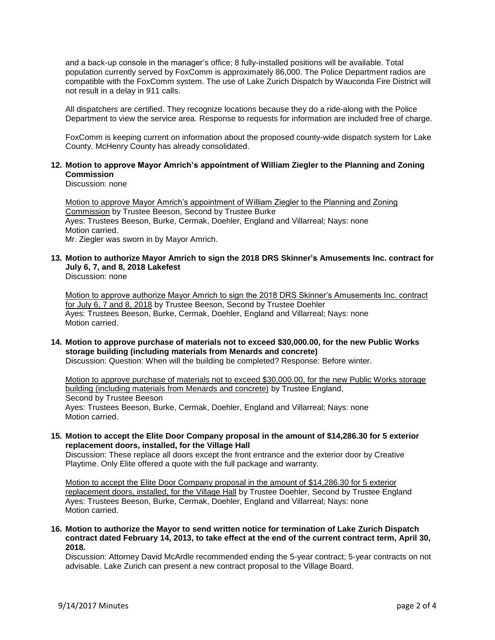and a back-up console in the manager's office; 8 fully-installed positions will be available. Total population currently served by FoxComm is approximately 86,000. The Police Department radios are compatible with the FoxComm system. The use of Lake Zurich Dispatch by Wauconda Fire District will not result in a delay in 911 calls.

All dispatchers are certified. They recognize locations because they do a ride-along with the Police Department to view the service area. Response to requests for information are included free of charge.

FoxComm is keeping current on information about the proposed county-wide dispatch system for Lake County. McHenry County has already consolidated.

### **12. Motion to approve Mayor Amrich's appointment of William Ziegler to the Planning and Zoning Commission**

Discussion: none

Motion to approve Mayor Amrich's appointment of William Ziegler to the Planning and Zoning Commission by Trustee Beeson, Second by Trustee Burke Ayes: Trustees Beeson, Burke, Cermak, Doehler, England and Villarreal; Nays: none Motion carried. Mr. Ziegler was sworn in by Mayor Amrich.

# **13. Motion to authorize Mayor Amrich to sign the 2018 DRS Skinner's Amusements Inc. contract for July 6, 7, and 8, 2018 Lakefest**

Discussion: none

Motion to approve authorize Mayor Amrich to sign the 2018 DRS Skinner's Amusements Inc. contract for July 6, 7 and 8, 2018 by Trustee Beeson, Second by Trustee Doehler Ayes: Trustees Beeson, Burke, Cermak, Doehler, England and Villarreal; Nays: none Motion carried.

# **14. Motion to approve purchase of materials not to exceed \$30,000.00, for the new Public Works storage building (including materials from Menards and concrete)**

Discussion: Question: When will the building be completed? Response: Before winter.

Motion to approve purchase of materials not to exceed \$30,000.00, for the new Public Works storage building (including materials from Menards and concrete) by Trustee England, Second by Trustee Beeson Ayes: Trustees Beeson, Burke, Cermak, Doehler, England and Villarreal; Nays: none Motion carried.

### **15. Motion to accept the Elite Door Company proposal in the amount of \$14,286.30 for 5 exterior replacement doors, installed, for the Village Hall**

Discussion: These replace all doors except the front entrance and the exterior door by Creative Playtime. Only Elite offered a quote with the full package and warranty.

Motion to accept the Elite Door Company proposal in the amount of \$14,286.30 for 5 exterior replacement doors, installed, for the Village Hall by Trustee Doehler, Second by Trustee England Ayes: Trustees Beeson, Burke, Cermak, Doehler, England and Villarreal; Nays: none Motion carried.

**16. Motion to authorize the Mayor to send written notice for termination of Lake Zurich Dispatch contract dated February 14, 2013, to take effect at the end of the current contract term, April 30, 2018.**

Discussion: Attorney David McArdle recommended ending the 5-year contract; 5-year contracts on not advisable. Lake Zurich can present a new contract proposal to the Village Board.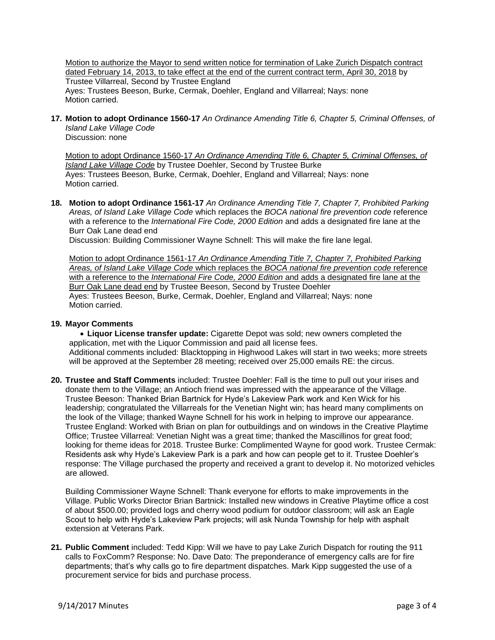Motion to authorize the Mayor to send written notice for termination of Lake Zurich Dispatch contract dated February 14, 2013, to take effect at the end of the current contract term, April 30, 2018 by Trustee Villarreal, Second by Trustee England Ayes: Trustees Beeson, Burke, Cermak, Doehler, England and Villarreal; Nays: none Motion carried.

**17. Motion to adopt Ordinance 1560-17** *An Ordinance Amending Title 6, Chapter 5, Criminal Offenses, of Island Lake Village Code*

Discussion: none

Motion to adopt Ordinance 1560-17 *An Ordinance Amending Title 6, Chapter 5, Criminal Offenses, of Island Lake Village Code* by Trustee Doehler, Second by Trustee Burke Ayes: Trustees Beeson, Burke, Cermak, Doehler, England and Villarreal; Nays: none Motion carried.

**18. Motion to adopt Ordinance 1561-17** *An Ordinance Amending Title 7, Chapter 7, Prohibited Parking Areas, of Island Lake Village Code* which replaces the *BOCA national fire prevention code* reference with a reference to the *International Fire Code, 2000 Edition* and adds a designated fire lane at the Burr Oak Lane dead end

Discussion: Building Commissioner Wayne Schnell: This will make the fire lane legal.

Motion to adopt Ordinance 1561-17 *An Ordinance Amending Title 7, Chapter 7, Prohibited Parking Areas, of Island Lake Village Code* which replaces the *BOCA national fire prevention code* reference with a reference to the *International Fire Code, 2000 Edition* and adds a designated fire lane at the Burr Oak Lane dead end by Trustee Beeson, Second by Trustee Doehler Ayes: Trustees Beeson, Burke, Cermak, Doehler, England and Villarreal; Nays: none Motion carried.

### **19. Mayor Comments**

 **Liquor License transfer update:** Cigarette Depot was sold; new owners completed the application, met with the Liquor Commission and paid all license fees. Additional comments included: Blacktopping in Highwood Lakes will start in two weeks; more streets will be approved at the September 28 meeting; received over 25,000 emails RE: the circus.

**20. Trustee and Staff Comments** included: Trustee Doehler: Fall is the time to pull out your irises and donate them to the Village; an Antioch friend was impressed with the appearance of the Village. Trustee Beeson: Thanked Brian Bartnick for Hyde's Lakeview Park work and Ken Wick for his leadership; congratulated the Villarreals for the Venetian Night win; has heard many compliments on the look of the Village; thanked Wayne Schnell for his work in helping to improve our appearance. Trustee England: Worked with Brian on plan for outbuildings and on windows in the Creative Playtime Office; Trustee Villarreal: Venetian Night was a great time; thanked the Mascillinos for great food; looking for theme ideas for 2018. Trustee Burke: Complimented Wayne for good work. Trustee Cermak: Residents ask why Hyde's Lakeview Park is a park and how can people get to it. Trustee Doehler's response: The Village purchased the property and received a grant to develop it. No motorized vehicles are allowed.

Building Commissioner Wayne Schnell: Thank everyone for efforts to make improvements in the Village. Public Works Director Brian Bartnick: Installed new windows in Creative Playtime office a cost of about \$500.00; provided logs and cherry wood podium for outdoor classroom; will ask an Eagle Scout to help with Hyde's Lakeview Park projects; will ask Nunda Township for help with asphalt extension at Veterans Park.

**21. Public Comment** included: Tedd Kipp: Will we have to pay Lake Zurich Dispatch for routing the 911 calls to FoxComm? Response: No. Dave Dato: The preponderance of emergency calls are for fire departments; that's why calls go to fire department dispatches. Mark Kipp suggested the use of a procurement service for bids and purchase process.